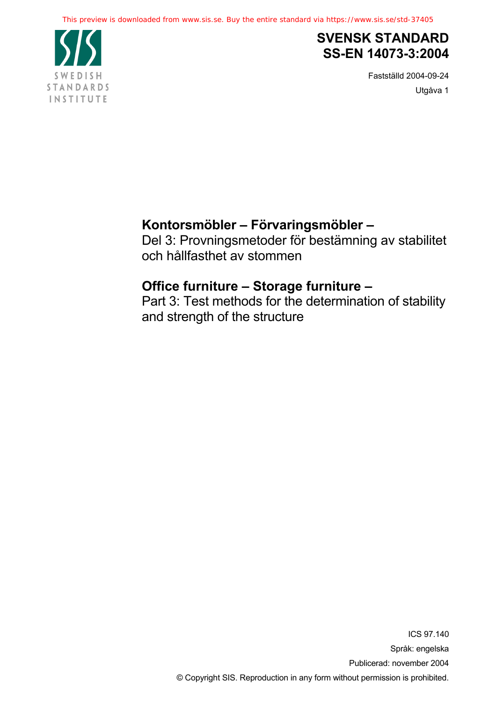

## **SVENSK STANDARD SS-EN 14073-3:2004**

Fastställd 2004-09-24 Utgåva 1

# **Kontorsmöbler – Förvaringsmöbler –**

Del 3: Provningsmetoder för bestämning av stabilitet och hållfasthet av stommen

# **Office furniture – Storage furniture –**

Part 3: Test methods for the determination of stability and strength of the structure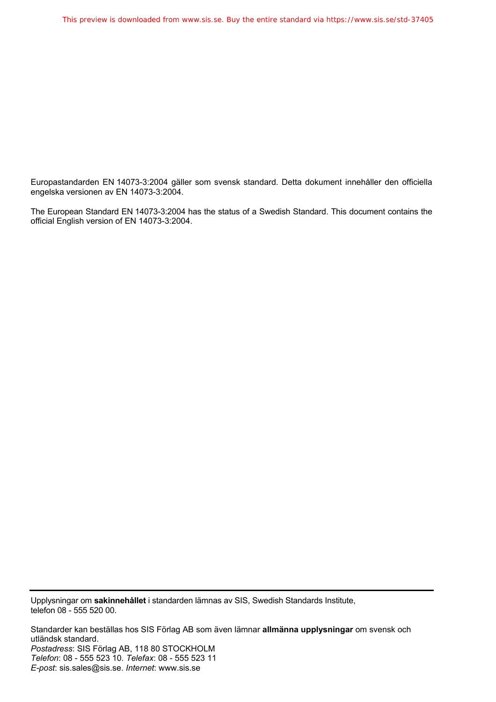Europastandarden EN 14073-3:2004 gäller som svensk standard. Detta dokument innehåller den officiella engelska versionen av EN 14073-3:2004.

The European Standard EN 14073-3:2004 has the status of a Swedish Standard. This document contains the official English version of EN 14073-3:2004.

Upplysningar om **sakinnehållet** i standarden lämnas av SIS, Swedish Standards Institute, telefon 08 - 555 520 00.

Standarder kan beställas hos SIS Förlag AB som även lämnar **allmänna upplysningar** om svensk och utländsk standard. *Postadress*: SIS Förlag AB, 118 80 STOCKHOLM *Telefon*: 08 - 555 523 10. *Telefax*: 08 - 555 523 11 *E-post*: sis.sales@sis.se. *Internet*: www.sis.se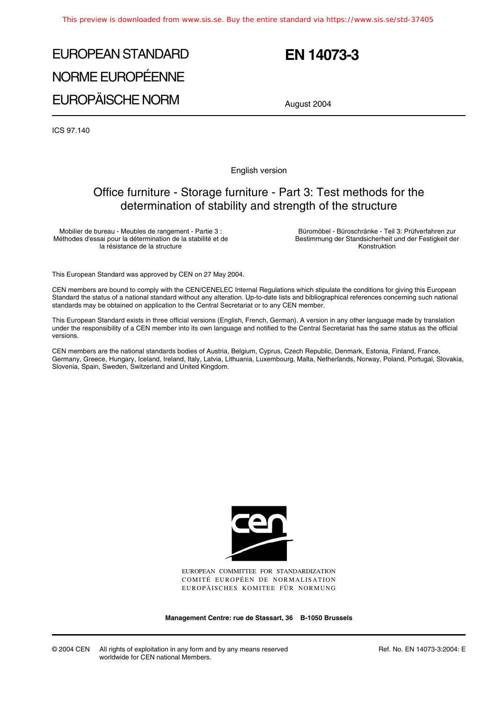# EUROPEAN STANDARD NORME EUROPÉENNE EUROPÄISCHE NORM

# **EN 14073-3**

August 2004

ICS 97.140

English version

## Office furniture - Storage furniture - Part 3: Test methods for the determination of stability and strength of the structure

Mobilier de bureau - Meubles de rangement - Partie 3 : Méthodes d'essai pour la détermination de la stabilité et de la résistance de la structure

Büromöbel - Büroschränke - Teil 3: Prüfverfahren zur Bestimmung der Standsicherheit und der Festigkeit der Konstruktion

This European Standard was approved by CEN on 27 May 2004.

CEN members are bound to comply with the CEN/CENELEC Internal Regulations which stipulate the conditions for giving this European Standard the status of a national standard without any alteration. Up-to-date lists and bibliographical references concerning such national standards may be obtained on application to the Central Secretariat or to any CEN member.

This European Standard exists in three official versions (English, French, German). A version in any other language made by translation under the responsibility of a CEN member into its own language and notified to the Central Secretariat has the same status as the official versions.

CEN members are the national standards bodies of Austria, Belgium, Cyprus, Czech Republic, Denmark, Estonia, Finland, France, Germany, Greece, Hungary, Iceland, Ireland, Italy, Latvia, Lithuania, Luxembourg, Malta, Netherlands, Norway, Poland, Portugal, Slovakia, Slovenia, Spain, Sweden, Switzerland and United Kingdom.



EUROPEAN COMMITTEE FOR STANDARDIZATION COMITÉ EUROPÉEN DE NORMALISATION EUROPÄISCHES KOMITEE FÜR NORMUNG

**Management Centre: rue de Stassart, 36 B-1050 Brussels**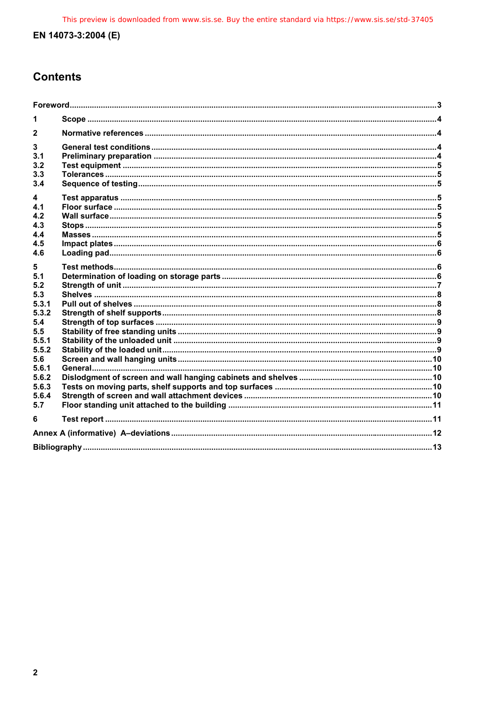## **Contents**

| $\mathbf{2}$                                                              |  |  |  |
|---------------------------------------------------------------------------|--|--|--|
| 3<br>3.1<br>3.2<br>3.3<br>3.4                                             |  |  |  |
| 4<br>4.1<br>4.2<br>4.3<br>4.4<br>4.5<br>4.6                               |  |  |  |
| 5.<br>5.1<br>5.2<br>5.3<br>5.3.1<br>5.3.2<br>5.4<br>5.5<br>5.5.1<br>5.5.2 |  |  |  |
| 5.6<br>5.6.1<br>5.6.2<br>5.6.3<br>5.6.4<br>5.7                            |  |  |  |
| 6                                                                         |  |  |  |
|                                                                           |  |  |  |
|                                                                           |  |  |  |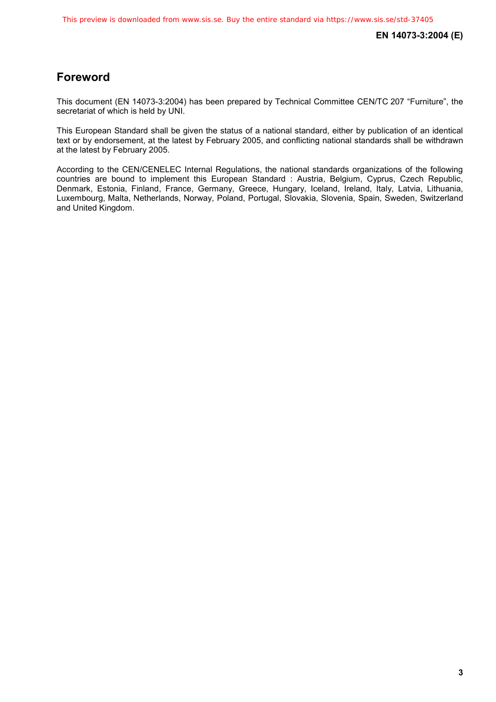## **Foreword**

This document (EN 14073-3:2004) has been prepared by Technical Committee CEN/TC 207 "Furniture", the secretariat of which is held by UNI.

This European Standard shall be given the status of a national standard, either by publication of an identical text or by endorsement, at the latest by February 2005, and conflicting national standards shall be withdrawn at the latest by February 2005.

According to the CEN/CENELEC Internal Regulations, the national standards organizations of the following countries are bound to implement this European Standard : Austria, Belgium, Cyprus, Czech Republic, Denmark, Estonia, Finland, France, Germany, Greece, Hungary, Iceland, Ireland, Italy, Latvia, Lithuania, Luxembourg, Malta, Netherlands, Norway, Poland, Portugal, Slovakia, Slovenia, Spain, Sweden, Switzerland and United Kingdom.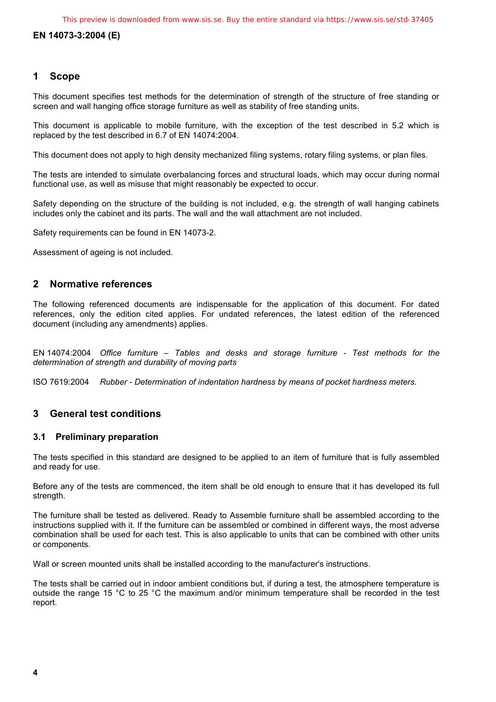#### **1 Scope**

This document specifies test methods for the determination of strength of the structure of free standing or screen and wall hanging office storage furniture as well as stability of free standing units.

This document is applicable to mobile furniture, with the exception of the test described in 5.2 which is replaced by the test described in 6.7 of EN 14074:2004.

This document does not apply to high density mechanized filing systems, rotary filing systems, or plan files.

The tests are intended to simulate overbalancing forces and structural loads, which may occur during normal functional use, as well as misuse that might reasonably be expected to occur.

Safety depending on the structure of the building is not included, e.g. the strength of wall hanging cabinets includes only the cabinet and its parts. The wall and the wall attachment are not included.

Safety requirements can be found in EN 14073-2.

Assessment of ageing is not included.

#### **2 Normative references**

The following referenced documents are indispensable for the application of this document. For dated references, only the edition cited applies. For undated references, the latest edition of the referenced document (including any amendments) applies.

EN 14074:2004 *Office furniture – Tables and desks and storage furniture - Test methods for the determination of strength and durability of moving parts* 

ISO 7619:2004 *Rubber - Determination of indentation hardness by means of pocket hardness meters.* 

#### **3 General test conditions**

#### **3.1 Preliminary preparation**

The tests specified in this standard are designed to be applied to an item of furniture that is fully assembled and ready for use.

Before any of the tests are commenced, the item shall be old enough to ensure that it has developed its full strength.

The furniture shall be tested as delivered. Ready to Assemble furniture shall be assembled according to the instructions supplied with it. If the furniture can be assembled or combined in different ways, the most adverse combination shall be used for each test. This is also applicable to units that can be combined with other units or components.

Wall or screen mounted units shall be installed according to the manufacturer's instructions.

The tests shall be carried out in indoor ambient conditions but, if during a test, the atmosphere temperature is outside the range 15 °C to 25 °C the maximum and/or minimum temperature shall be recorded in the test report.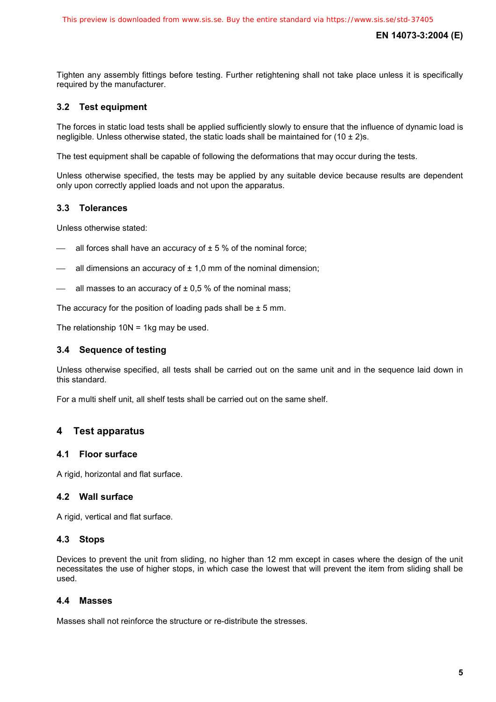Tighten any assembly fittings before testing. Further retightening shall not take place unless it is specifically required by the manufacturer.

#### **3.2 Test equipment**

The forces in static load tests shall be applied sufficiently slowly to ensure that the influence of dynamic load is negligible. Unless otherwise stated, the static loads shall be maintained for  $(10 \pm 2)s$ .

The test equipment shall be capable of following the deformations that may occur during the tests.

Unless otherwise specified, the tests may be applied by any suitable device because results are dependent only upon correctly applied loads and not upon the apparatus.

#### **3.3 Tolerances**

Unless otherwise stated:

- all forces shall have an accuracy of  $\pm$  5 % of the nominal force;
- all dimensions an accuracy of  $\pm$  1,0 mm of the nominal dimension;
- all masses to an accuracy of  $\pm$  0.5 % of the nominal mass;

The accuracy for the position of loading pads shall be  $\pm$  5 mm.

The relationship 10N = 1kg may be used.

#### **3.4 Sequence of testing**

Unless otherwise specified, all tests shall be carried out on the same unit and in the sequence laid down in this standard.

For a multi shelf unit, all shelf tests shall be carried out on the same shelf.

#### **4 Test apparatus**

#### **4.1 Floor surface**

A rigid, horizontal and flat surface.

#### **4.2 Wall surface**

A rigid, vertical and flat surface.

#### **4.3 Stops**

Devices to prevent the unit from sliding, no higher than 12 mm except in cases where the design of the unit necessitates the use of higher stops, in which case the lowest that will prevent the item from sliding shall be used.

#### **4.4 Masses**

Masses shall not reinforce the structure or re-distribute the stresses.